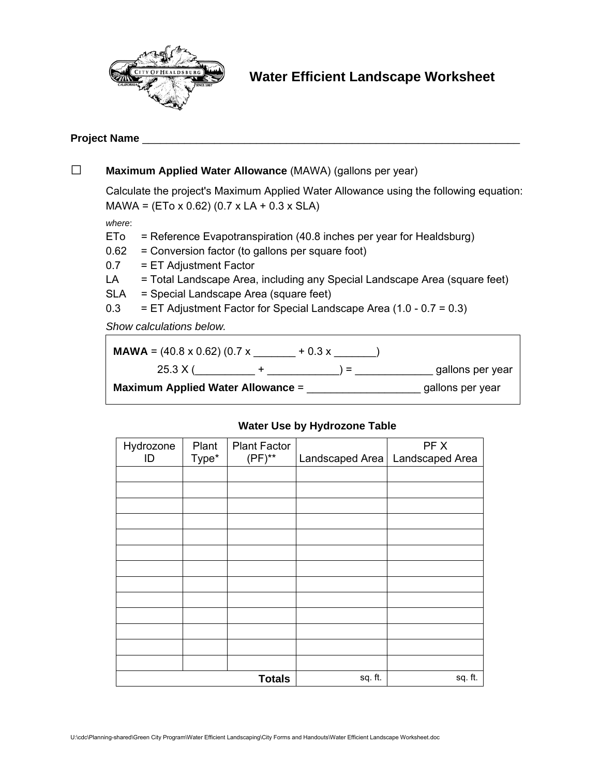

# **Project Name** \_\_\_\_\_\_\_\_\_\_\_\_\_\_\_\_\_\_\_\_\_\_\_\_\_\_\_\_\_\_\_\_\_\_\_\_\_\_\_\_\_\_\_\_\_\_\_\_\_\_\_\_\_\_\_\_\_\_\_\_\_\_\_

|                                                      | Maximum Applied Water Allowance (MAWA) (gallons per year)                                                                                            |                                                                       |                  |  |  |  |
|------------------------------------------------------|------------------------------------------------------------------------------------------------------------------------------------------------------|-----------------------------------------------------------------------|------------------|--|--|--|
|                                                      | Calculate the project's Maximum Applied Water Allowance using the following equation:<br>$MAWA = (ETo \times 0.62) (0.7 \times LA + 0.3 \times SLA)$ |                                                                       |                  |  |  |  |
|                                                      | where:                                                                                                                                               |                                                                       |                  |  |  |  |
|                                                      | ETo                                                                                                                                                  | = Reference Evapotranspiration (40.8 inches per year for Healdsburg)  |                  |  |  |  |
|                                                      | = Conversion factor (to gallons per square foot)<br>0.62                                                                                             |                                                                       |                  |  |  |  |
|                                                      | 0.7                                                                                                                                                  | = ET Adjustment Factor                                                |                  |  |  |  |
|                                                      | = Total Landscape Area, including any Special Landscape Area (square feet)<br>LA                                                                     |                                                                       |                  |  |  |  |
| <b>SLA</b><br>= Special Landscape Area (square feet) |                                                                                                                                                      |                                                                       |                  |  |  |  |
|                                                      | 0.3                                                                                                                                                  | $=$ ET Adjustment Factor for Special Landscape Area (1.0 - 0.7 = 0.3) |                  |  |  |  |
|                                                      | Show calculations below.                                                                                                                             |                                                                       |                  |  |  |  |
|                                                      | <b>MAWA</b> = $(40.8 \times 0.62) (0.7 \times 4.62) (0.7 \times 4.62)$                                                                               |                                                                       |                  |  |  |  |
|                                                      |                                                                                                                                                      | $25.3 X ($ +<br>$) =$                                                 | gallons per year |  |  |  |
|                                                      |                                                                                                                                                      | <b>Maximum Applied Water Allowance =</b>                              | gallons per year |  |  |  |

# **Water Use by Hydrozone Table**

| Hydrozone<br>ID | Plant<br>Type* | <b>Plant Factor</b><br>$(PF)^{**}$ | Landscaped Area | PF X<br>Landscaped Area |
|-----------------|----------------|------------------------------------|-----------------|-------------------------|
|                 |                |                                    |                 |                         |
|                 |                |                                    |                 |                         |
|                 |                |                                    |                 |                         |
|                 |                |                                    |                 |                         |
|                 |                |                                    |                 |                         |
|                 |                |                                    |                 |                         |
|                 |                |                                    |                 |                         |
|                 |                |                                    |                 |                         |
|                 |                |                                    |                 |                         |
|                 |                |                                    |                 |                         |
|                 |                |                                    |                 |                         |
|                 |                |                                    |                 |                         |
|                 |                |                                    |                 |                         |
|                 |                | <b>Totals</b>                      | sq. ft.         | sq. ft.                 |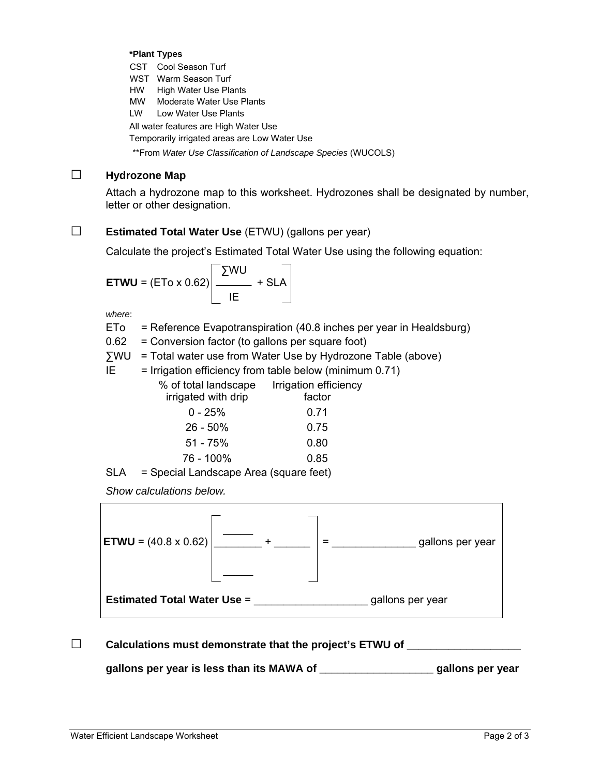#### **\*Plant Types**

CST Cool Season Turf

WST Warm Season Turf

HW High Water Use Plants

MW Moderate Water Use Plants

LW Low Water Use Plants

All water features are High Water Use

Temporarily irrigated areas are Low Water Use

\*\*From *Water Use Classification of Landscape Species* (WUCOLS)

# □ **Hydrozone Map**

Attach a hydrozone map to this worksheet. Hydrozones shall be designated by number, letter or other designation.

### □ **Estimated Total Water Use** (ETWU) (gallons per year)

Calculate the project's Estimated Total Water Use using the following equation:

$$
ETWU = (ETo \times 0.62) \left[ \frac{\Sigma WU}{IE} + SLA \right]
$$

*where*:

 $E$ To = Reference Evapotranspiration (40.8 inches per year in Healdsburg)

0.62 = Conversion factor (to gallons per square foot)

∑WU = Total water use from Water Use by Hydrozone Table (above)

 $IE = Irrigation efficiency from table below (minimum 0.71)$ 

| % of total landscape | Irrigation efficiency |
|----------------------|-----------------------|
| irrigated with drip  | factor                |
| $0 - 25%$            | 0.71                  |
| $26 - 50\%$          | 0.75                  |
| $51 - 75%$           | 0.80                  |
| 76 - 100%            | 0.85                  |
|                      |                       |

SLA = Special Landscape Area (square feet)

*Show calculations below.* 



### □ Calculations must demonstrate that the project's ETWU of \_\_\_\_\_\_\_\_\_\_\_\_\_\_\_\_\_\_\_\_\_

**gallons per year is less than its MAWA of \_\_\_\_\_\_\_\_\_\_\_\_\_\_\_\_\_\_\_ gallons per year**